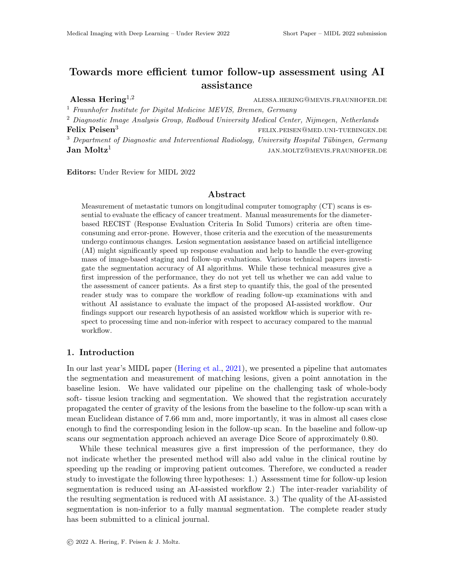## Towards more efficient tumor follow-up assessment using AI assistance

Alessa Hering<sup>1,2</sup> ALESSA.HERING@MEVIS.FRAUNHOFER.DE

<sup>1</sup> Fraunhofer Institute for Digital Medicine MEVIS, Bremen, Germany

<sup>2</sup> Diagnostic Image Analysis Group, Radboud University Medical Center, Nijmegen, Netherlands Felix Peisen<sup>3</sup> felix.peisen@med.uni-tuebingen.def  $3$  Department of Diagnostic and Interventional Radiology, University Hospital Tübingen, Germany  $Jan$  Moltz<sup>1</sup> jan.moltz@mevis.fraunhofer.de

Editors: Under Review for MIDL 2022

## Abstract

Measurement of metastatic tumors on longitudinal computer tomography (CT) scans is essential to evaluate the efficacy of cancer treatment. Manual measurements for the diameterbased RECIST (Response Evaluation Criteria In Solid Tumors) criteria are often timeconsuming and error-prone. However, those criteria and the execution of the measurements undergo continuous changes. Lesion segmentation assistance based on artificial intelligence (AI) might significantly speed up response evaluation and help to handle the ever-growing mass of image-based staging and follow-up evaluations. Various technical papers investigate the segmentation accuracy of AI algorithms. While these technical measures give a first impression of the performance, they do not yet tell us whether we can add value to the assessment of cancer patients. As a first step to quantify this, the goal of the presented reader study was to compare the workflow of reading follow-up examinations with and without AI assistance to evaluate the impact of the proposed AI-assisted workflow. Our findings support our research hypothesis of an assisted workflow which is superior with respect to processing time and non-inferior with respect to accuracy compared to the manual workflow.

## 1. Introduction

In our last year's MIDL paper [\(Hering et al.,](#page-2-0) [2021\)](#page-2-0), we presented a pipeline that automates the segmentation and measurement of matching lesions, given a point annotation in the baseline lesion. We have validated our pipeline on the challenging task of whole-body soft- tissue lesion tracking and segmentation. We showed that the registration accurately propagated the center of gravity of the lesions from the baseline to the follow-up scan with a mean Euclidean distance of 7.66 mm and, more importantly, it was in almost all cases close enough to find the corresponding lesion in the follow-up scan. In the baseline and follow-up scans our segmentation approach achieved an average Dice Score of approximately 0.80.

While these technical measures give a first impression of the performance, they do not indicate whether the presented method will also add value in the clinical routine by speeding up the reading or improving patient outcomes. Therefore, we conducted a reader study to investigate the following three hypotheses: 1.) Assessment time for follow-up lesion segmentation is reduced using an AI-assisted workflow 2.) The inter-reader variability of the resulting segmentation is reduced with AI assistance. 3.) The quality of the AI-assisted segmentation is non-inferior to a fully manual segmentation. The complete reader study has been submitted to a clinical journal.